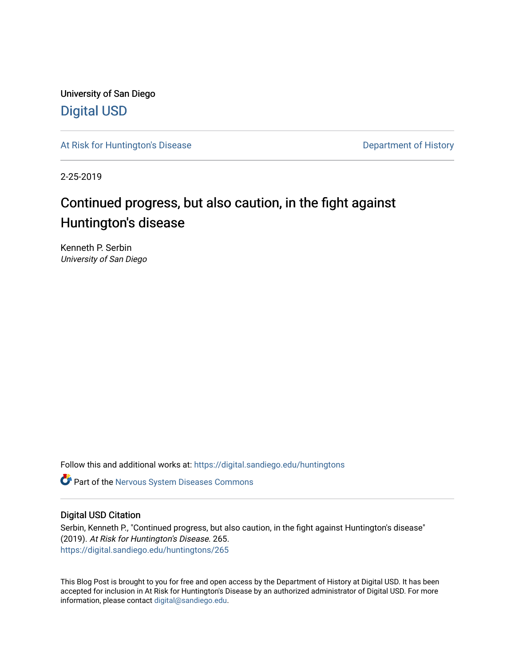University of San Diego [Digital USD](https://digital.sandiego.edu/)

[At Risk for Huntington's Disease](https://digital.sandiego.edu/huntingtons) **Department of History** Department of History

2-25-2019

# Continued progress, but also caution, in the fight against Huntington's disease

Kenneth P. Serbin University of San Diego

Follow this and additional works at: [https://digital.sandiego.edu/huntingtons](https://digital.sandiego.edu/huntingtons?utm_source=digital.sandiego.edu%2Fhuntingtons%2F265&utm_medium=PDF&utm_campaign=PDFCoverPages)

**C** Part of the [Nervous System Diseases Commons](http://network.bepress.com/hgg/discipline/928?utm_source=digital.sandiego.edu%2Fhuntingtons%2F265&utm_medium=PDF&utm_campaign=PDFCoverPages)

### Digital USD Citation

Serbin, Kenneth P., "Continued progress, but also caution, in the fight against Huntington's disease" (2019). At Risk for Huntington's Disease. 265. [https://digital.sandiego.edu/huntingtons/265](https://digital.sandiego.edu/huntingtons/265?utm_source=digital.sandiego.edu%2Fhuntingtons%2F265&utm_medium=PDF&utm_campaign=PDFCoverPages)

This Blog Post is brought to you for free and open access by the Department of History at Digital USD. It has been accepted for inclusion in At Risk for Huntington's Disease by an authorized administrator of Digital USD. For more information, please contact [digital@sandiego.edu.](mailto:digital@sandiego.edu)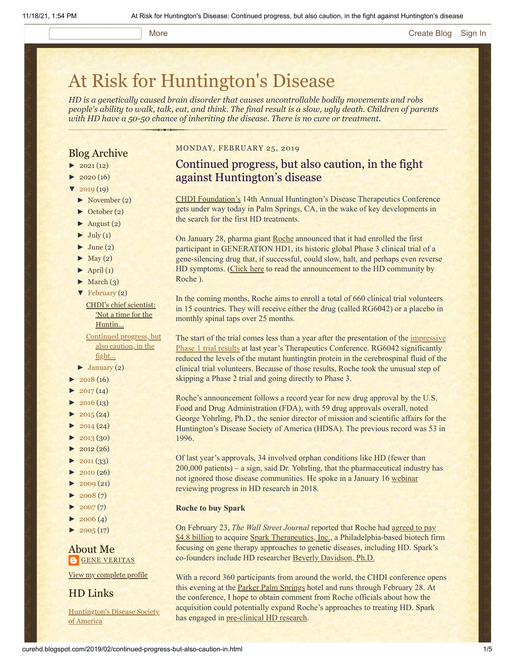#### More **[Create Blog](https://www.blogger.com/home#create) [Sign In](https://www.blogger.com/)**

# [At Risk for Huntington's Disease](http://curehd.blogspot.com/)

*HD is a genetically caused brain disorder that causes uncontrollable bodily movements and robs people's ability to walk, talk, eat, and think. The final result is a slow, ugly death. Children of parents with HD have a 50-50 chance of inheriting the disease. There is no cure or treatment.*

#### Blog Archive

- $\blacktriangleright$  [2021](http://curehd.blogspot.com/2021/)(12)
- $2020(16)$  $2020(16)$
- $2019(19)$  $2019(19)$ 
	- [►](javascript:void(0)) [November](http://curehd.blogspot.com/2019/11/) (2)
	- [►](javascript:void(0)) [October](http://curehd.blogspot.com/2019/10/) (2)
	- $\blacktriangleright$  [August](http://curehd.blogspot.com/2019/08/) (2)
	- $\blacktriangleright$  [July](http://curehd.blogspot.com/2019/07/) (1)
	- $\blacktriangleright$  [June](http://curehd.blogspot.com/2019/06/) (2)
	- $\blacktriangleright$  [May](http://curehd.blogspot.com/2019/05/) (2)
	- $\blacktriangleright$  [April](http://curehd.blogspot.com/2019/04/) (1)
	- $\blacktriangleright$  [March](http://curehd.blogspot.com/2019/03/) (3)
	- [▼](javascript:void(0)) [February](http://curehd.blogspot.com/2019/02/) (2)

CHDI's chief [scientist:](http://curehd.blogspot.com/2019/02/chdis-chief-scientist-not-time-for.html) 'Not a time for the Huntin...

[Continued](http://curehd.blogspot.com/2019/02/continued-progress-but-also-caution-in.html) progress, but also caution, in the fight...

- $\blacktriangleright$  [January](http://curehd.blogspot.com/2019/01/) (2)
- $\blacktriangleright$  [2018](http://curehd.blogspot.com/2018/) (16)
- $\blacktriangleright$  [2017](http://curehd.blogspot.com/2017/) (14)
- $\blacktriangleright$  [2016](http://curehd.blogspot.com/2016/) (13)
- $\blacktriangleright$  [2015](http://curehd.blogspot.com/2015/) (24)
- $\blacktriangleright$  [2014](http://curehd.blogspot.com/2014/) (24)
- $\blacktriangleright$  [2013](http://curehd.blogspot.com/2013/) (30)
- $\blacktriangleright$  [2012](http://curehd.blogspot.com/2012/) (26)
- $\blacktriangleright$  [2011](http://curehd.blogspot.com/2011/) (33)
- $\blacktriangleright$  [2010](http://curehd.blogspot.com/2010/) (26)
- $\blacktriangleright$  [2009](http://curehd.blogspot.com/2009/) (21)
- $\blacktriangleright$  [2008](http://curehd.blogspot.com/2008/) $(7)$
- $\blacktriangleright$  [2007](http://curehd.blogspot.com/2007/) $(7)$
- $\blacktriangleright$  [2006](http://curehd.blogspot.com/2006/) (4)
- $\blacktriangleright$  [2005](http://curehd.blogspot.com/2005/) (17)

#### About Me **GENE [VERITAS](https://www.blogger.com/profile/10911736205741688185)**

View my [complete](https://www.blogger.com/profile/10911736205741688185) profile

HD Links

[Huntington's](http://www.hdsa.org/) Disease Society of America

#### MONDAY, FEBRUARY 25, 2019

## Continued progress, but also caution, in the fight against Huntington's disease

[CHDI Foundation's](https://chdifoundation.org/) 14th Annual Huntington's Disease Therapeutics Conference gets under way today in Palm Springs, CA, in the wake of key developments in the search for the first HD treatments.

On January 28, pharma giant [Roche](https://www.roche.com/) announced that it had enrolled the first participant in GENERATION HD1, its historic global Phase 3 clinical trial of a gene-silencing drug that, if successful, could slow, halt, and perhaps even reverse HD symptoms. ([Click here](https://hdsa.org/wp-content/uploads/2019/01/Roche-global-HD-community-letter-Jan-2019.pdf) to read the announcement to the HD community by Roche ).

In the coming months, Roche aims to enroll a total of 660 clinical trial volunteers in 15 countries. They will receive either the drug (called RG6042) or a placebo in monthly spinal taps over 25 months.

[The start of the trial comes less than a year after the presentation of the impressive](http://curehd.blogspot.com/2018/03/ionis-phase-12a-clinical-trial-data.html) Phase 1 trial results at last year's Therapeutics Conference. RG6042 significantly reduced the levels of the mutant huntingtin protein in the cerebrospinal fluid of the clinical trial volunteers. Because of those results, Roche took the unusual step of skipping a Phase 2 trial and going directly to Phase 3.

Roche's announcement follows a record year for new drug approval by the U.S. Food and Drug Administration (FDA), with 59 drug approvals overall, noted George Yohrling, Ph.D., the senior director of mission and scientific affairs for the Huntington's Disease Society of America (HDSA). The previous record was 53 in 1996.

Of last year's approvals, 34 involved orphan conditions like HD (fewer than 200,000 patients) – a sign, said Dr. Yohrling, that the pharmaceutical industry has not ignored those disease communities. He spoke in a January 16 [webinar](https://www.youtube.com/watch?v=hH2p_uEHh5E) reviewing progress in HD research in 2018.

#### **Roche to buy Spark**

On February 23, *The Wall Street Journal* reported that Roche had agreed to pay [\\$4.8 billion to acquire Spark Therapeutics, Inc.,](https://www.businessinsider.com/roche-buys-spark-maker-of-850000-eye-drug-sending-stock-up-121-2019-2) a Philadelphia-based biotech firm focusing on gene therapy approaches to genetic diseases, including HD. Spark's co-founders include HD researcher [Beverly Davidson, Ph.D.](https://www.markets.co/j-p-morgan-sticks-to-their-hold-rating-for-spark-therapeutics/)

With a record 360 participants from around the world, the CHDI conference opens this evening at the **Parker Palm Springs** hotel and runs through February 28. At the conference, I hope to obtain comment from Roche officials about how the acquisition could potentially expand Roche's approaches to treating HD. Spark has engaged in [pre-clinical HD research](http://sparktx.com/scientific-platform-programs/).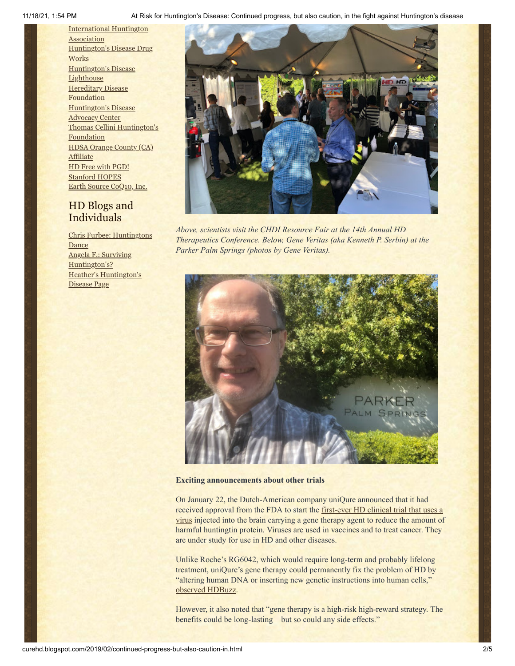11/18/21, 1:54 PM At Risk for Huntington's Disease: Continued progress, but also caution, in the fight against Huntington's disease

[International](http://www.huntington-assoc.com/) Huntington **Association** [Huntington's](http://hddrugworks.org/) Disease Drug **Works** [Huntington's](http://www.hdlighthouse.org/) Disease **Lighthouse [Hereditary](http://www.hdfoundation.org/) Disease Foundation** [Huntington's](http://www.hdac.org/) Disease Advocacy Center Thomas [Cellini Huntington's](http://www.ourtchfoundation.org/) **Foundation** HDSA Orange County (CA) **[Affiliate](http://www.hdsaoc.org/)** HD Free with [PGD!](http://www.hdfreewithpgd.com/) [Stanford](http://www.stanford.edu/group/hopes/) HOPES Earth Source [CoQ10,](http://www.escoq10.com/) Inc.

### HD Blogs and Individuals

Chris Furbee: [Huntingtons](http://www.huntingtonsdance.org/) Dance Angela F.: Surviving [Huntington's?](http://survivinghuntingtons.blogspot.com/) Heather's [Huntington's](http://heatherdugdale.angelfire.com/) Disease Page



*Above, scientists visit the CHDI Resource Fair at the 14th Annual HD Therapeutics Conference. Below, Gene Veritas (aka Kenneth P. Serbin) at the Parker Palm Springs (photos by Gene Veritas).*



#### **Exciting announcements about other trials**

On January 22, the Dutch-American company uniQure announced that it had received approval from the FDA to start the first-ever HD clinical trial that uses a [virus injected into the brain carrying a gene therapy agent to reduce the amount of](https://tools.eurolandir.com/tools/Pressreleases/GetPressRelease/?ID=3559434&lang=en-GB&companycode=nl-qure&v=) harmful huntingtin protein. Viruses are used in vaccines and to treat cancer. They are under study for use in HD and other diseases.

Unlike Roche's RG6042, which would require long-term and probably lifelong treatment, uniQure's gene therapy could permanently fix the problem of HD by "altering human DNA or inserting new genetic instructions into human cells," [observed HDBuzz.](https://en.hdbuzz.net/267)

However, it also noted that "gene therapy is a high-risk high-reward strategy. The benefits could be long-lasting – but so could any side effects."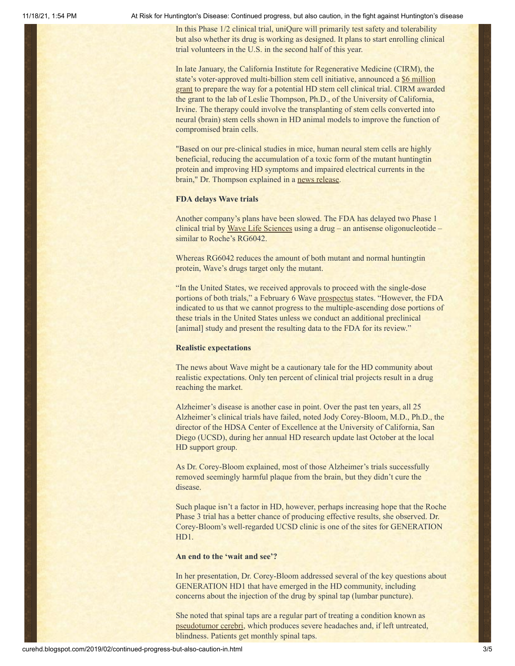11/18/21, 1:54 PM At Risk for Huntington's Disease: Continued progress, but also caution, in the fight against Huntington's disease

In this Phase 1/2 clinical trial, uniQure will primarily test safety and tolerability but also whether its drug is working as designed. It plans to start enrolling clinical trial volunteers in the U.S. in the second half of this year.

In late January, the California Institute for Regenerative Medicine (CIRM), the state's voter-approved multi-billion stem cell initiative, announced a \$6 million [grant to prepare the way for a potential HD stem cell clinical trial. CIRM award](https://www.cirm.ca.gov/our-progress/awards/hesc-derived-hnsc-therapeutic-huntington%E2%80%99s-disease)ed the grant to the lab of Leslie Thompson, Ph.D., of the University of California, Irvine. The therapy could involve the transplanting of stem cells converted into neural (brain) stem cells shown in HD animal models to improve the function of compromised brain cells.

"Based on our pre-clinical studies in mice, human neural stem cells are highly beneficial, reducing the accumulation of a toxic form of the mutant huntingtin protein and improving HD symptoms and impaired electrical currents in the brain," Dr. Thompson explained in a [news release](https://www.eurekalert.org/pub_releases/2019-02/uoc--ca020419.php).

#### **FDA delays Wave trials**

Another company's plans have been slowed. The FDA has delayed two Phase 1 clinical trial by [Wave Life Sciences](https://www.wavelifesciences.com/) using a drug – an antisense oligonucleotide – similar to Roche's RG6042.

Whereas RG6042 reduces the amount of both mutant and normal huntingtin protein, Wave's drugs target only the mutant.

"In the United States, we received approvals to proceed with the single-dose portions of both trials," a February 6 Wave [prospectus](https://www.sec.gov/Archives/edgar/data/1631574/000119312519015961/d686950d424b5.htm) states. "However, the FDA indicated to us that we cannot progress to the multiple-ascending dose portions of these trials in the United States unless we conduct an additional preclinical [animal] study and present the resulting data to the FDA for its review."

#### **Realistic expectations**

The news about Wave might be a cautionary tale for the HD community about realistic expectations. Only ten percent of clinical trial projects result in a drug reaching the market.

Alzheimer's disease is another case in point. Over the past ten years, all 25 Alzheimer's clinical trials have failed, noted Jody Corey-Bloom, M.D., Ph.D., the director of the HDSA Center of Excellence at the University of California, San Diego (UCSD), during her annual HD research update last October at the local HD support group.

As Dr. Corey-Bloom explained, most of those Alzheimer's trials successfully removed seemingly harmful plaque from the brain, but they didn't cure the disease.

Such plaque isn't a factor in HD, however, perhaps increasing hope that the Roche Phase 3 trial has a better chance of producing effective results, she observed. Dr. Corey-Bloom's well-regarded UCSD clinic is one of the sites for GENERATION HD1.

#### **An end to the 'wait and see'?**

In her presentation, Dr. Corey-Bloom addressed several of the key questions about GENERATION HD1 that have emerged in the HD community, including concerns about the injection of the drug by spinal tap (lumbar puncture).

She noted that spinal taps are a regular part of treating a condition known as [pseudotumor cerebri](https://www.mayoclinic.org/diseases-conditions/pseudotumor-cerebri/symptoms-causes/syc-20354031), which produces severe headaches and, if left untreated, blindness. Patients get monthly spinal taps.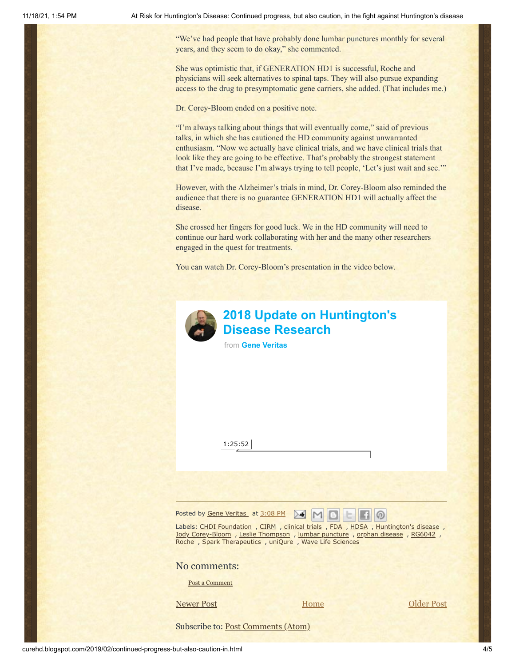"We've had people that have probably done lumbar punctures monthly for several years, and they seem to do okay," she commented.

She was optimistic that, if GENERATION HD1 is successful, Roche and physicians will seek alternatives to spinal taps. They will also pursue expanding access to the drug to presymptomatic gene carriers, she added. (That includes me.)

Dr. Corey-Bloom ended on a positive note.

"I'm always talking about things that will eventually come," said of previous talks, in which she has cautioned the HD community against unwarranted enthusiasm. "Now we actually have clinical trials, and we have clinical trials that look like they are going to be effective. That's probably the strongest statement that I've made, because I'm always trying to tell people, 'Let's just wait and see.'"

However, with the Alzheimer's trials in mind, Dr. Corey-Bloom also reminded the audience that there is no guarantee GENERATION HD1 will actually affect the disease.

She crossed her fingers for good luck. We in the HD community will need to continue our hard work collaborating with her and the many other researchers engaged in the quest for treatments.

You can watch Dr. Corey-Bloom's presentation in the video below.



# **[2018 Update on Huntington's](https://vimeo.com/319417793?embedded=true&source=video_title&owner=6019843) Disease Research**

from **[Gene Veritas](https://vimeo.com/user6019843?embedded=true&source=owner_name&owner=6019843)**

1:25:52

Posted by Gene [Veritas](https://www.blogger.com/profile/10911736205741688185) at [3:08](http://curehd.blogspot.com/2019/02/continued-progress-but-also-caution-in.html) PM **ENB**  $\Box$   $\odot$ 

Labels: CHDI [Foundation](http://curehd.blogspot.com/search/label/CHDI%20Foundation) , [CIRM](http://curehd.blogspot.com/search/label/CIRM) , [clinical](http://curehd.blogspot.com/search/label/clinical%20trials) trials , [FDA](http://curehd.blogspot.com/search/label/FDA) , [HDSA](http://curehd.blogspot.com/search/label/HDSA) , [Huntington's](http://curehd.blogspot.com/search/label/Huntington%27s%20disease) disease, Jody [Corey-Bloom](http://curehd.blogspot.com/search/label/Jody%20Corey-Bloom) , Leslie [Thompson](http://curehd.blogspot.com/search/label/Leslie%20Thompson) , lumbar [puncture](http://curehd.blogspot.com/search/label/lumbar%20puncture) , orphan [disease](http://curehd.blogspot.com/search/label/orphan%20disease) , [RG6042](http://curehd.blogspot.com/search/label/RG6042) , [Roche](http://curehd.blogspot.com/search/label/Roche), Spark [Therapeutics](http://curehd.blogspot.com/search/label/Spark%20Therapeutics), [uniQure](http://curehd.blogspot.com/search/label/uniQure), Wave Life [Sciences](http://curehd.blogspot.com/search/label/Wave%20Life%20Sciences)

No comments:

Post a [Comment](https://www.blogger.com/comment.g?blogID=10081281&postID=1704963115505560550&isPopup=true)

[Newer Post](http://curehd.blogspot.com/2019/02/chdis-chief-scientist-not-time-for.html) **Newer Post [Older Post](http://curehd.blogspot.com/2019/01/hacking-humans-upgrading-homo-sapiens.html) Older Post** 

**[Home](http://curehd.blogspot.com/)** 

Subscribe to: [Post Comments \(Atom\)](http://curehd.blogspot.com/feeds/1704963115505560550/comments/default)